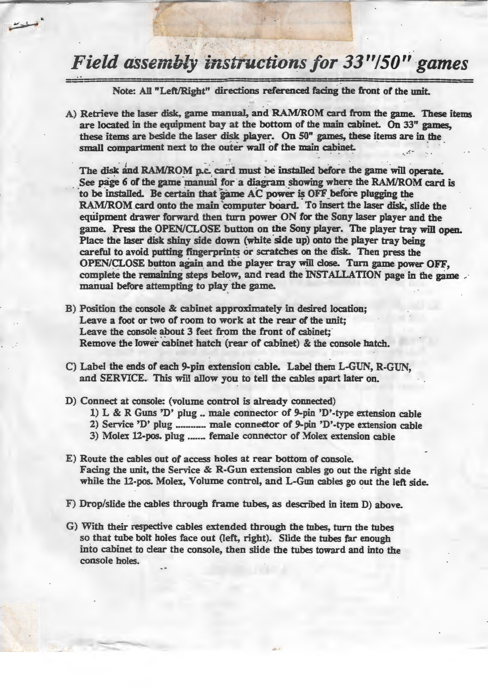## *Field assembly instructions for 33"/50" games*

Note: All "Left/Right" directions referenced facing the front of the unit.

A) Retrieve the laser disk, game manual, and RAM/ROM card from the game. These items are located in the equipment bay at the bottom of the main cabinet. On 33" games, these items are beside the laser disk player. On SO" games, these items are in the small compartment next to the outer wall of the main cabinet.

The disk and RAM/ROM p.c. card must be installed before the game will operate. See page 6 of the game manual for a diagram showing where the RAM/ROM card is to be installed. Be certain that game AC power is OFF before plugging the RAM/ROM card onto the main computer board. To insert the laser disk, slide the equipment drawer forward then turn power ON for the Sony laser player and the game. Press the OPEN/CLOSE button on the Sony player. The player tray will open. Place the laser disk shiny side down (white side up) onto the player tray being careful to avoid putting fingerprints or scratches on the disk. Then press the OPEN/CLOSE button again and the player tray will close. Turn game power OFF, complete the remaining steps below, and read the INSTALLATION page in the game manual before attempting to play the game.

- B) Position the comole & cabinet approximately in desired location; Leave a foot or two of room to work at the rear of the unit; Leave the console about 3 feet from the front of cabinet; Remove the lower cabinet hatch (rear of cabinet) & the console hatch.
- C) Label the ends of each 9-pin extension cable. Label them L-GUN, R-GUN, and SERVICE.. This will allow you to tell the cables apart later on.
- D) Connect at console: (volume control is already connected)

أوسليدان

- 1) L & R Guns 'D' plug .. male connector of 9-pin 'D'-type extension cable
- 2) Service 'D' plug ............ male connector of 9-pin 'D'-type extension cable
- 3) Molex 12-pos. plug ....... female connector of Molex extension cable
- E) Route the cables out of access holes at rear bottom of console. Facing the unit, the Service & R-Gun extension cables go out the right side while the 12-pos. Molex, Volume control, and L-Gun cables go out the left side.
- F) Drop/slide the cables through frame tubes, as described in item D) above.
- G) With their respective cables extended through the tnbes, turn the tubes so that tube bolt holes face out (left, right). Slide the tubes far enough into cabinet to clear the console, then slide the tubes toward and into the console holes.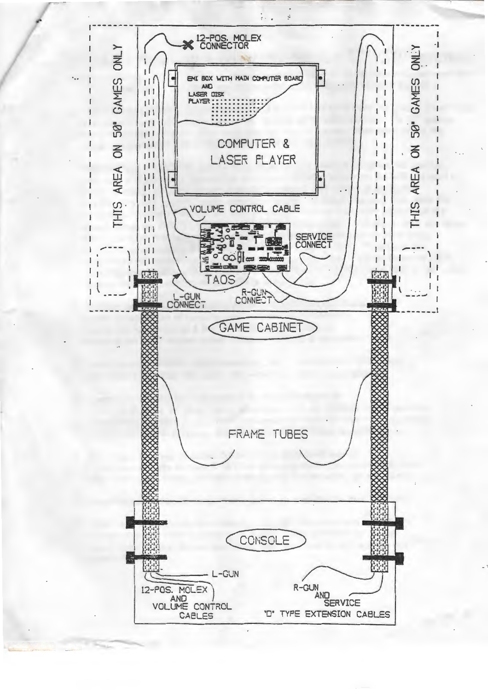